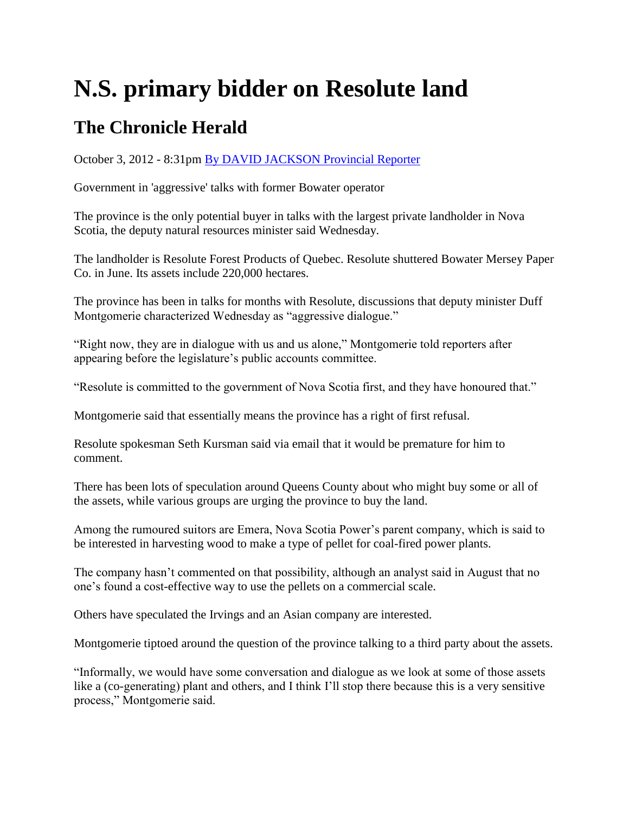## **N.S. primary bidder on Resolute land**

## **The Chronicle Herald**

October 3, 2012 - 8:31pm [By DAVID JACKSON Provincial Reporter](http://thechronicleherald.ca/author/david-jackson-provincial-reporter-1) 

Government in 'aggressive' talks with former Bowater operator

The province is the only potential buyer in talks with the largest private landholder in Nova Scotia, the deputy natural resources minister said Wednesday.

The landholder is Resolute Forest Products of Quebec. Resolute shuttered Bowater Mersey Paper Co. in June. Its assets include 220,000 hectares.

The province has been in talks for months with Resolute, discussions that deputy minister Duff Montgomerie characterized Wednesday as "aggressive dialogue."

"Right now, they are in dialogue with us and us alone," Montgomerie told reporters after appearing before the legislature's public accounts committee.

"Resolute is committed to the government of Nova Scotia first, and they have honoured that."

Montgomerie said that essentially means the province has a right of first refusal.

Resolute spokesman Seth Kursman said via email that it would be premature for him to comment.

There has been lots of speculation around Queens County about who might buy some or all of the assets, while various groups are urging the province to buy the land.

Among the rumoured suitors are Emera, Nova Scotia Power's parent company, which is said to be interested in harvesting wood to make a type of pellet for coal-fired power plants.

The company hasn't commented on that possibility, although an analyst said in August that no one's found a cost-effective way to use the pellets on a commercial scale.

Others have speculated the Irvings and an Asian company are interested.

Montgomerie tiptoed around the question of the province talking to a third party about the assets.

"Informally, we would have some conversation and dialogue as we look at some of those assets like a (co-generating) plant and others, and I think I'll stop there because this is a very sensitive process," Montgomerie said.